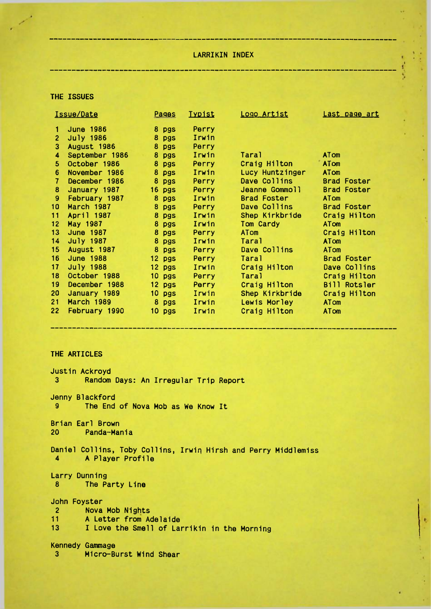## LARRIKIN INDEX

----------

### THE ISSUES

| Issue/Date      |                   | Pages    | <b>I</b> ypist | Logo Artist        | Last page art      |
|-----------------|-------------------|----------|----------------|--------------------|--------------------|
|                 | <b>June 1986</b>  | 8 pgs    | Perry          |                    |                    |
| $\overline{2}$  | July 1986         | 8 pgs    | Irwin          |                    |                    |
| 3               | August 1986       | 8 pgs    | Perry          |                    |                    |
| 4               | September 1986    | 8 pgs    | Irwin          | Taral              | <b>ATom</b>        |
| 5.              | October 1986      | 8 pgs    | Perry          | Craig Hilton       | <b>ATom</b>        |
| 6               | November 1986     | 8 pgs    | Irwin          | Lucy Huntzinger    | <b>ATom</b>        |
| 7               | December 1986     | 8 pgs    | Perry          | Dave Collins       | <b>Brad Foster</b> |
| 8               | January 1987      | $16$ pgs | Perry          | Jeanne Gommoll     | <b>Brad Foster</b> |
| 9               | February 1987     | 8 pgs    | Irwin          | <b>Brad Foster</b> | <b>ATom</b>        |
| 10 <sub>1</sub> | <b>March 1987</b> | 8 pgs    | Perry          | Dave Collins       | <b>Brad Foster</b> |
| 11              | April 1987        | 8 pgs    | Irwin          | Shep Kirkbride     | Craig Hilton       |
| 12              | May 1987          | 8 pgs    | Irwin          | Tom Cardy          | <b>ATom</b>        |
| 13 <sup>7</sup> | June 1987         | 8 pgs    | Perry          | ATom               | Craig Hilton       |
| 14              | July 1987         | 8 pgs    | Irwin          | Taral              | <b>ATom</b>        |
| 15 <sub>1</sub> | August 1987       | 8 pgs    | Perry          | Dave Collins       | <b>ATom</b>        |
| 16 <sup>1</sup> | <b>June 1988</b>  | $12$ pgs | Perry          | Taral              | <b>Brad Foster</b> |
| 17              | July 1988         | $12$ pgs | Irwin          | Craig Hilton       | Dave Collins       |
| 18              | October 1988      | 10 pgs   | <b>Perry</b>   | Taral              | Craig Hilton       |
| 19              | December 1988     | $12$ pgs | Perry          | Craig Hilton       | Bill Rotsler       |
| 20              | January 1989      | $10$ pgs | Irwin          | Shep Kirkbride     | Craig Hilton       |
| 21              | <b>March 1989</b> | 8 pgs    | Irwin          | Lewis Morley       | <b>ATom</b>        |
| 22              | February 1990     | $10$ pgs | Irwin          | Craig Hilton       | <b>ATom</b>        |
|                 |                   |          |                |                    |                    |

# THE ARTICLES

\_\_\_\_\_\_\_\_\_\_\_\_\_\_\_\_

| Justin Ackroyd                                                                       |  |  |  |  |
|--------------------------------------------------------------------------------------|--|--|--|--|
| $3 -$<br>Random Days: An Irregular Trip Report                                       |  |  |  |  |
| Jenny Blackford                                                                      |  |  |  |  |
| The End of Nova Mob as We Know It                                                    |  |  |  |  |
| Brian Earl Brown                                                                     |  |  |  |  |
| 20 Panda-Mania                                                                       |  |  |  |  |
| Daniel Collins, Toby Collins, Irwin Hirsh and Perry Middlemiss<br>4 A Player Profile |  |  |  |  |
| Larry Dunning                                                                        |  |  |  |  |
| 8 The Party Line                                                                     |  |  |  |  |
| John Foyster                                                                         |  |  |  |  |
| 2 Nova Mob Nights                                                                    |  |  |  |  |
| 11 A Letter from Adelaide                                                            |  |  |  |  |
| 13 I Love the Smell of Larrikin in the Morning                                       |  |  |  |  |
| <b>Kennedy Gammage</b>                                                               |  |  |  |  |
| Micro-Burst Wind Shear<br>$3^{\circ}$                                                |  |  |  |  |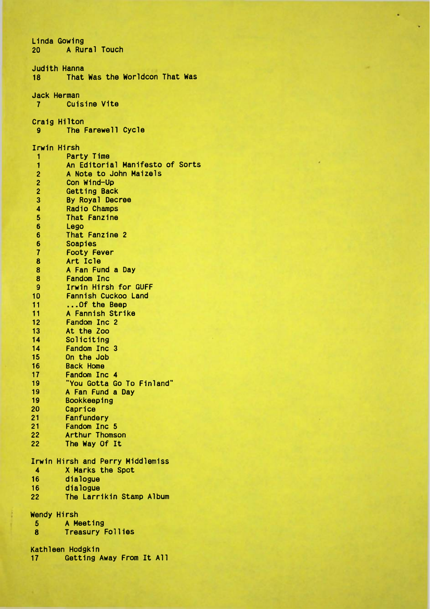Linda Gowing **20 A Rural Touch** Judith Hanna That Was the Worldcon That Was Jack Herman<br>7 Cuis **Cuisine Vite** Craig Hilton<br>9 The The Farewell Cycle Irwin Hirsh 1 Party Time<br>1 An Editoria 1 **An Editorial Manifesto of Sorts**<br>2 **A Note to John Maizels** 2 A Note to John Maizels<br>2 Con Wind-Up 2 Con Wind-Up<br>2 Getting Back 2 Getting Back<br>3 By Royal Dec 3 By Royal Decree 4 Radio Champs<br>5 That Fanzine 5 That Fanzine<br>6 Lego 6 Lego<br>6 That 6 That Fanzine 2 6 Soapies<br>7 Footy F 7 Footy Fever<br>8 Art Icle 8 Art Icle<br>8 A Fan Fui 8 A Fan Fund a Day<br>8 Fandom Inc 8 Fandom Inc<br>9 Irwin Hirsh 9 Irwin Hirsh for GUFF<br>10 Fannish Cuckoo Land 10 Fannish Cuckoo Land<br>11 ... Of the Beep 11 ... Of the Beep<br>11 A Fannish Stri 11 A Fannish Strike<br>12 Fandom Inc 2 12 Fandom Inc 2<br>13 At the Zoo 13 At the Zoo<br>14 Soliciting 14 Soliciting<br>14 Fandom Inc 14 Fandom Inc 3<br>15 On the Job 15 On the Job<br>16 Back Home 16 Back Home<br>17 Fandom In 17 Fandom Inc 4<br>19 Tou Gotta Go 19 "You Gotta Go To Finland" 19 A Fan Fund a Day<br>19 Bookkeeping 19 Bookkeeping 20 Caprice<br>21 Fanfund 21 Fanfundery<br>21 Fandom Inc 21 Fandom Inc 5<br>22 Arthur Thoms 22 Arthur Thomson<br>22 The Way Of It The Way Of It Irwin Hirsh and Perry Middlemiss 4 X Marks the Spot<br>16 dialogue 16 dialogue dialogue 22 The Larrikin Stamp Album Wendy Hirsh<br>5 A Me 5 A Meeting **Treasury Follies** Kathleen Hodgkin 17 Getting Away From It All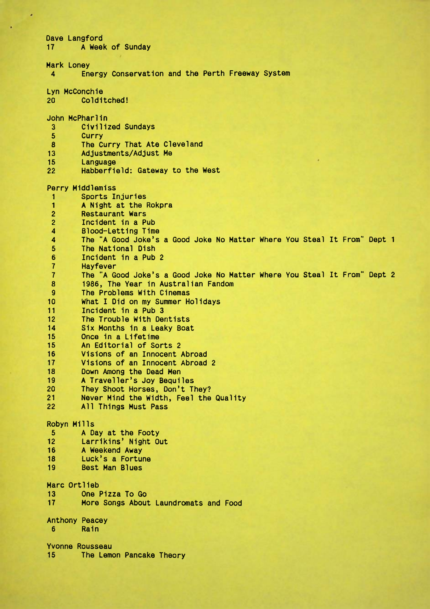| Dave Langford<br>17        | A Week of Sunday                                                                               |
|----------------------------|------------------------------------------------------------------------------------------------|
| Mark Loney<br>4            | Energy Conservation and the Perth Freeway System                                               |
| Lyn McConchie<br>20        | Colditched!                                                                                    |
| John McPharlin             |                                                                                                |
| 3                          | Civilized Sundays                                                                              |
| 5                          | Curry                                                                                          |
| 8                          | The Curry That Ate Cleveland                                                                   |
| 13                         | Adjustments/Adjust Me                                                                          |
| 15                         | Language                                                                                       |
| 22                         | Habberfield: Gateway to the West                                                               |
|                            | Perry Middlemiss                                                                               |
| 1                          | Sports Injuries                                                                                |
| 1                          | A Night at the Rokpra                                                                          |
| $\overline{2}$             | <b>Restaurant Wars</b>                                                                         |
| $\overline{c}$             | Incident in a Pub                                                                              |
| 4                          | Blood-Letting Time<br>The "A Good Joke's a Good Joke No Matter Where You Steal It From" Dept 1 |
| 4<br>5                     | The National Dish                                                                              |
| 6                          | Incident in a Pub 2                                                                            |
| 7                          | Hayfever                                                                                       |
| $\overline{7}$             | The "A Good Joke's a Good Joke No Matter Where You Steal It From" Dept 2                       |
| 8                          | 1986, The Year in Australian Fandom                                                            |
| 9                          | The Problems With Cinemas                                                                      |
| 10                         | What I Did on my Summer Holidays                                                               |
| 11                         | Incident in a Pub 3                                                                            |
| 12                         | The Trouble With Dentists                                                                      |
| 14                         | Six Months in a Leaky Boat                                                                     |
| 15                         | Once in a Lifetime                                                                             |
| 15                         | An Editorial of Sorts 2                                                                        |
| 16                         | Visions of an Innocent Abroad                                                                  |
| 17                         | Visions of an Innocent Abroad 2                                                                |
| 18<br>19                   | Down Among the Dead Men                                                                        |
| 20                         | A Traveller's Joy Bequiles<br>They Shoot Horses, Don't They?                                   |
| 21                         | Never Mind the Width, Feel the Quality                                                         |
| 22                         | All Things Must Pass                                                                           |
| Robyn Mills                |                                                                                                |
| 5                          | A Day at the Footy                                                                             |
| 12 <sup>2</sup>            | Larrikins' Night Out                                                                           |
| 16                         | A Weekend Away                                                                                 |
| 18                         | Luck's a Fortune                                                                               |
| 19                         | <b>Best Man Blues</b>                                                                          |
| Marc Ortlieb               |                                                                                                |
| 13 <sup>13</sup>           | One Pizza To Go                                                                                |
| 17                         | More Songs About Laundromats and Food                                                          |
|                            |                                                                                                |
| <b>Anthony Peacey</b><br>6 | Rain                                                                                           |
|                            |                                                                                                |
|                            | Yvonne Rousseau                                                                                |
| 15                         | The Lemon Pancake Theory                                                                       |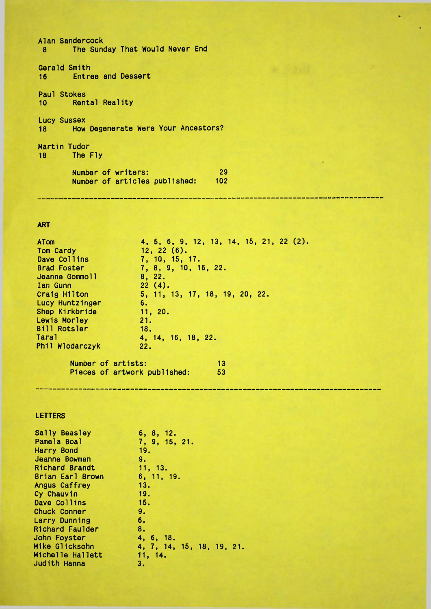Alan Sandercock 8 The Sunday That Would Never End Gerald Smith 16 Entree and Dessert Paul Stokes 10 Rental Reality Lucy Sussex 18 How Degenerate Were Your Ancestors? Martin Tudor 18 The Fly Number of writers: Number of writers: 29.29 and 29.29 and 20.29 and 20.29 and 20.29 and 20.29 and 20.29 and 20.29 and 20.29 and 20.29 and 2 articles published: 102

## ART

| ATom                         | 4, 5, 6, 9, 12, 13, 14, 15, 21, 22 (2). |
|------------------------------|-----------------------------------------|
| Tom Cardy                    | $12, 22(6)$ .                           |
| Dave Collins                 | 7, 10, 15, 17.                          |
| <b>Brad Foster</b>           | 7, 8, 9, 10, 16, 22.                    |
| Jeanne Gommoll               | 8, 22.                                  |
| Ian Gunn                     | 22(4).                                  |
| Craig Hilton                 | 5, 11, 13, 17, 18, 19, 20, 22.          |
| Lucy Huntzinger              | 6.                                      |
| Shep Kirkbride               | 11, 20.                                 |
| Lewis Morley                 | 21.                                     |
| <b>Bill Rotsler</b>          | 18.                                     |
| Taral                        | 4, 14, 16, 18, 22.                      |
| Phil Wlodarczyk              | 22.                                     |
| Number of artists:           | 13                                      |
| Pieces of artwork published: | 53                                      |

#### LETTERS

| 6, 8, 12.                 |
|---------------------------|
| 7, 9, 15, 21.             |
| 19.                       |
| 9.                        |
| 11, 13.                   |
| 6, 11, 19.                |
| 13.                       |
| 19.                       |
| 15.                       |
| 9.                        |
| 6.                        |
| 8.                        |
| 4, 6, 18.                 |
| 4, 7, 14, 15, 18, 19, 21. |
| 11, 14.                   |
| з.                        |
|                           |